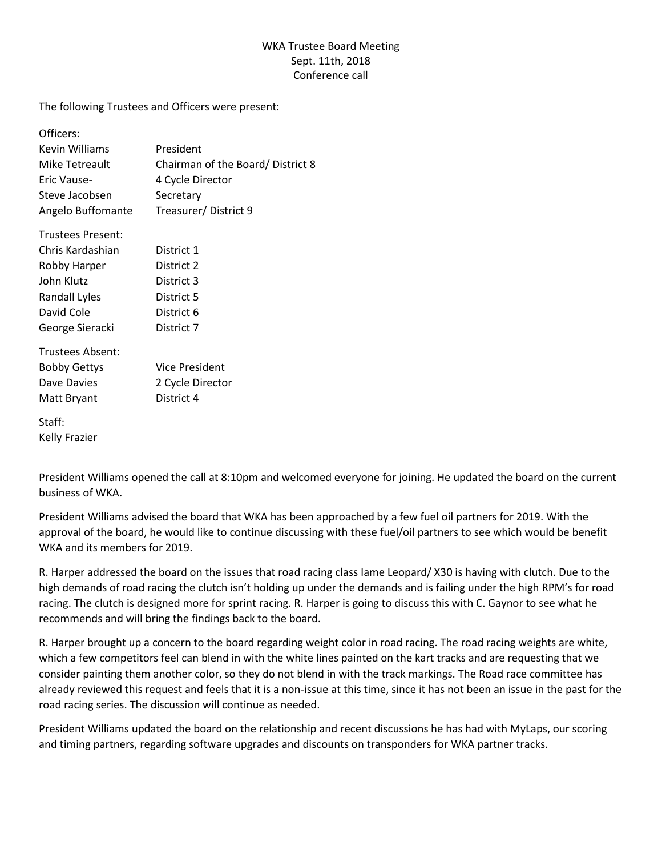## WKA Trustee Board Meeting Sept. 11th, 2018 Conference call

The following Trustees and Officers were present:

| Officers:            |                                  |
|----------------------|----------------------------------|
| Kevin Williams       | President                        |
| Mike Tetreault       | Chairman of the Board/District 8 |
| Eric Vause-          | 4 Cycle Director                 |
| Steve Jacobsen       | Secretary                        |
| Angelo Buffomante    | Treasurer/District 9             |
| Trustees Present:    |                                  |
| Chris Kardashian     | District 1                       |
| Robby Harper         | District 2                       |
| John Klutz           | District 3                       |
| <b>Randall Lyles</b> | District 5                       |
| David Cole           | District 6                       |
| George Sieracki      | District 7                       |
| Trustees Absent:     |                                  |
| <b>Bobby Gettys</b>  | Vice President                   |
| Dave Davies          | 2 Cycle Director                 |
| Matt Bryant          | District 4                       |
| Staff:               |                                  |
| <b>Kelly Frazier</b> |                                  |

President Williams opened the call at 8:10pm and welcomed everyone for joining. He updated the board on the current business of WKA.

President Williams advised the board that WKA has been approached by a few fuel oil partners for 2019. With the approval of the board, he would like to continue discussing with these fuel/oil partners to see which would be benefit WKA and its members for 2019.

R. Harper addressed the board on the issues that road racing class Iame Leopard/ X30 is having with clutch. Due to the high demands of road racing the clutch isn't holding up under the demands and is failing under the high RPM's for road racing. The clutch is designed more for sprint racing. R. Harper is going to discuss this with C. Gaynor to see what he recommends and will bring the findings back to the board.

R. Harper brought up a concern to the board regarding weight color in road racing. The road racing weights are white, which a few competitors feel can blend in with the white lines painted on the kart tracks and are requesting that we consider painting them another color, so they do not blend in with the track markings. The Road race committee has already reviewed this request and feels that it is a non-issue at this time, since it has not been an issue in the past for the road racing series. The discussion will continue as needed.

President Williams updated the board on the relationship and recent discussions he has had with MyLaps, our scoring and timing partners, regarding software upgrades and discounts on transponders for WKA partner tracks.